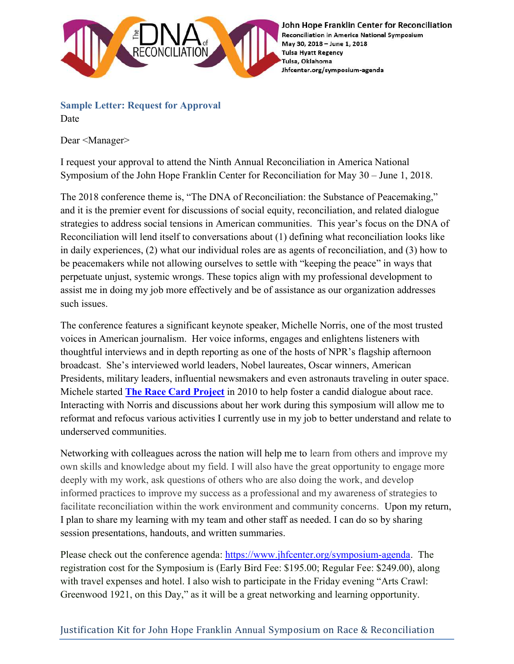

John Hope Franklin Center for Reconciliation Reconciliation in America National Symposium May 30, 2018 - June 1, 2018 **Tulsa Hyatt Regency** Tulsa, Oklahoma Jhfcenter.org/symposium-agenda

## Sample Letter: Request for Approval Date

Dear <Manager>

I request your approval to attend the Ninth Annual Reconciliation in America National Symposium of the John Hope Franklin Center for Reconciliation for May 30 – June 1, 2018.

The 2018 conference theme is, "The DNA of Reconciliation: the Substance of Peacemaking," and it is the premier event for discussions of social equity, reconciliation, and related dialogue strategies to address social tensions in American communities. This year's focus on the DNA of Reconciliation will lend itself to conversations about (1) defining what reconciliation looks like in daily experiences, (2) what our individual roles are as agents of reconciliation, and (3) how to be peacemakers while not allowing ourselves to settle with "keeping the peace" in ways that perpetuate unjust, systemic wrongs. These topics align with my professional development to assist me in doing my job more effectively and be of assistance as our organization addresses such issues.

The conference features a significant keynote speaker, Michelle Norris, one of the most trusted voices in American journalism. Her voice informs, engages and enlightens listeners with thoughtful interviews and in depth reporting as one of the hosts of NPR's flagship afternoon broadcast. She's interviewed world leaders, Nobel laureates, Oscar winners, American Presidents, military leaders, influential newsmakers and even astronauts traveling in outer space. Michele started **The Race Card Project** in 2010 to help foster a candid dialogue about race. Interacting with Norris and discussions about her work during this symposium will allow me to reformat and refocus various activities I currently use in my job to better understand and relate to underserved communities.

Networking with colleagues across the nation will help me to learn from others and improve my own skills and knowledge about my field. I will also have the great opportunity to engage more deeply with my work, ask questions of others who are also doing the work, and develop informed practices to improve my success as a professional and my awareness of strategies to facilitate reconciliation within the work environment and community concerns. Upon my return, I plan to share my learning with my team and other staff as needed. I can do so by sharing session presentations, handouts, and written summaries.

Please check out the conference agenda: https://www.jhfcenter.org/symposium-agenda. The registration cost for the Symposium is (Early Bird Fee: \$195.00; Regular Fee: \$249.00), along with travel expenses and hotel. I also wish to participate in the Friday evening "Arts Crawl: Greenwood 1921, on this Day," as it will be a great networking and learning opportunity.